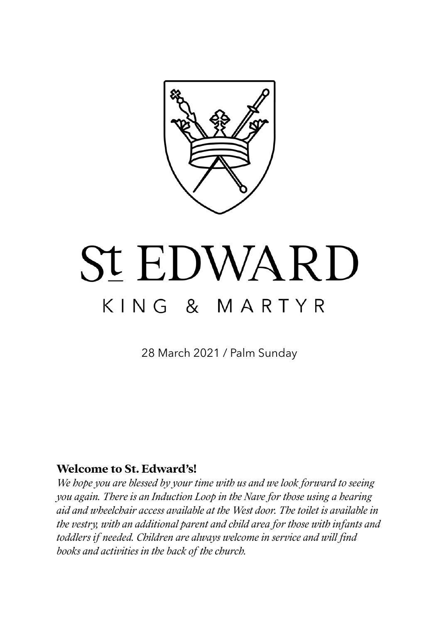

# St EDWARD KING & MARTYR

28 March 2021 / Palm Sunday

#### **Welcome to St. Edward's!**

*We hope you are blessed by your time with us and we look forward to seeing you again. There is an Induction Loop in the Nave for those using a hearing aid and wheelchair access available at the West door. The toilet is available in the vestry, with an additional parent and child area for those with infants and toddlers if needed. Children are always welcome in service and will find books and activities in the back of the church.*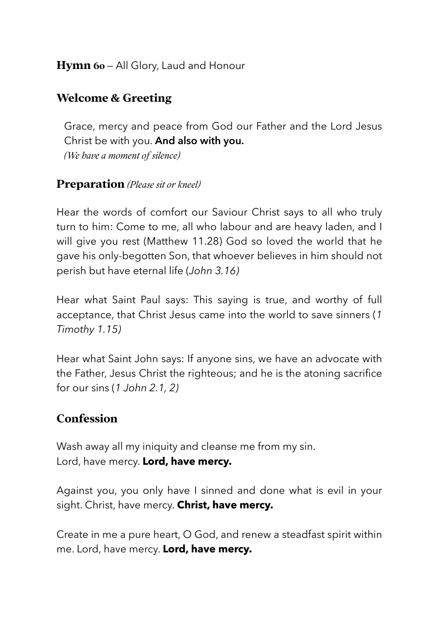#### **Hymn 60 - All Glory, Laud and Honour**

## **Welcome & Greeting**

Grace, mercy and peace from God our Father and the Lord Jesus Christ be with you. **And also with you.**

*(We have a moment of silence)*

#### **Preparation** *(Please sit or kneel)*

Hear the words of comfort our Saviour Christ says to all who truly turn to him: Come to me, all who labour and are heavy laden, and I will give you rest (Matthew 11.28) God so loved the world that he gave his only-begotten Son, that whoever believes in him should not perish but have eternal life (*John 3.16)*

Hear what Saint Paul says: This saying is true, and worthy of full acceptance, that Christ Jesus came into the world to save sinners (*1 Timothy 1.15)*

Hear what Saint John says: If anyone sins, we have an advocate with the Father, Jesus Christ the righteous; and he is the atoning sacrifice for our sins (*1 John 2.1, 2)* 

#### **Confession**

Wash away all my iniquity and cleanse me from my sin. Lord, have mercy. **Lord, have mercy.**

Against you, you only have I sinned and done what is evil in your sight. Christ, have mercy. **Christ, have mercy.**

Create in me a pure heart, O God, and renew a steadfast spirit within me. Lord, have mercy. **Lord, have mercy.**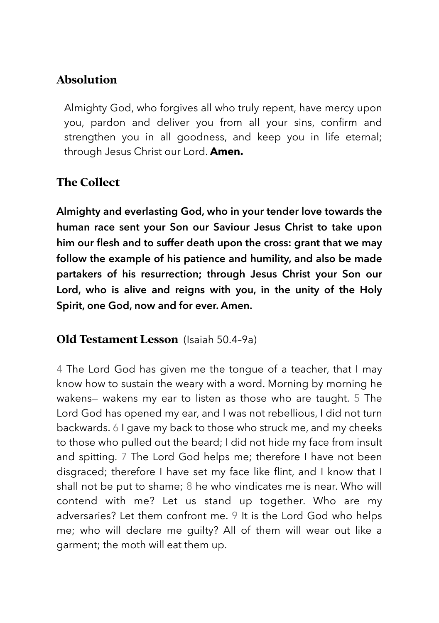## **Absolution**

Almighty God, who forgives all who truly repent, have mercy upon you, pardon and deliver you from all your sins, confirm and strengthen you in all goodness, and keep you in life eternal; through Jesus Christ our Lord. **Amen.**

# **The Collect**

**Almighty and everlasting God, who in your tender love towards the human race sent your Son our Saviour Jesus Christ to take upon him our flesh and to suffer death upon the cross: grant that we may follow the example of his patience and humility, and also be made partakers of his resurrection; through Jesus Christ your Son our Lord, who is alive and reigns with you, in the unity of the Holy Spirit, one God, now and for ever. Amen.**

#### **Old Testament Lesson** (Isaiah 50.4–9a)

4 The Lord God has given me the tongue of a teacher, that I may know how to sustain the weary with a word. Morning by morning he wakens— wakens my ear to listen as those who are taught. 5 The Lord God has opened my ear, and I was not rebellious, I did not turn backwards. 6 I gave my back to those who struck me, and my cheeks to those who pulled out the beard; I did not hide my face from insult and spitting. 7 The Lord God helps me; therefore I have not been disgraced; therefore I have set my face like flint, and I know that I shall not be put to shame; 8 he who vindicates me is near. Who will contend with me? Let us stand up together. Who are my adversaries? Let them confront me. 9 It is the Lord God who helps me; who will declare me guilty? All of them will wear out like a garment; the moth will eat them up.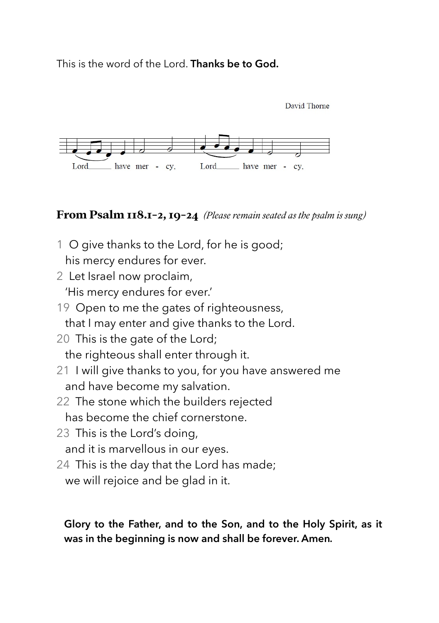This is the word of the Lord. **Thanks be to God.**



#### **From Psalm 118.1-2, 19-24** *(Please remain seated as the psalm is sung)*

- 1 O give thanks to the Lord, for he is good; his mercy endures for ever.
- 2 Let Israel now proclaim,

'His mercy endures for ever.'

- 19 Open to me the gates of righteousness, that I may enter and give thanks to the Lord.
- 20 This is the gate of the Lord; the righteous shall enter through it.
- 21 I will give thanks to you, for you have answered me and have become my salvation.
- 22 The stone which the builders rejected has become the chief cornerstone.
- 23 This is the Lord's doing, and it is marvellous in our eyes.
- 24 This is the day that the Lord has made; we will rejoice and be glad in it.

**Glory to the Father, and to the Son, and to the Holy Spirit, as it was in the beginning is now and shall be forever. Amen***.*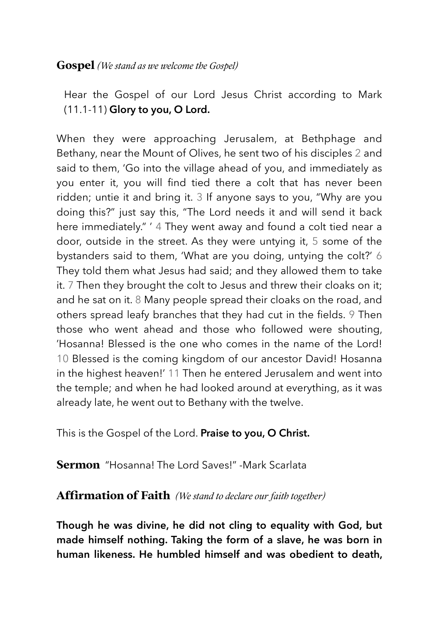#### **Gospel** *(We stand as we welcome the Gospel)*

Hear the Gospel of our Lord Jesus Christ according to Mark (11.1-11) **Glory to you, O Lord.**

When they were approaching Jerusalem, at Bethphage and Bethany, near the Mount of Olives, he sent two of his disciples 2 and said to them, 'Go into the village ahead of you, and immediately as you enter it, you will find tied there a colt that has never been ridden; untie it and bring it. 3 If anyone says to you, "Why are you doing this?" just say this, "The Lord needs it and will send it back here immediately." ' 4 They went away and found a colt tied near a door, outside in the street. As they were untying it, 5 some of the bystanders said to them, 'What are you doing, untying the colt?' 6 They told them what Jesus had said; and they allowed them to take it. 7 Then they brought the colt to Jesus and threw their cloaks on it; and he sat on it. 8 Many people spread their cloaks on the road, and others spread leafy branches that they had cut in the fields. 9 Then those who went ahead and those who followed were shouting, 'Hosanna! Blessed is the one who comes in the name of the Lord! 10 Blessed is the coming kingdom of our ancestor David! Hosanna in the highest heaven!' 11 Then he entered Jerusalem and went into the temple; and when he had looked around at everything, as it was already late, he went out to Bethany with the twelve.

This is the Gospel of the Lord. **Praise to you, O Christ.**

**Sermon** "Hosanna! The Lord Saves!" -Mark Scarlata

#### **Affirmation of Faith** *(We stand to declare our faith together)*

**Though he was divine, he did not cling to equality with God, but made himself nothing. Taking the form of a slave, he was born in human likeness. He humbled himself and was obedient to death,**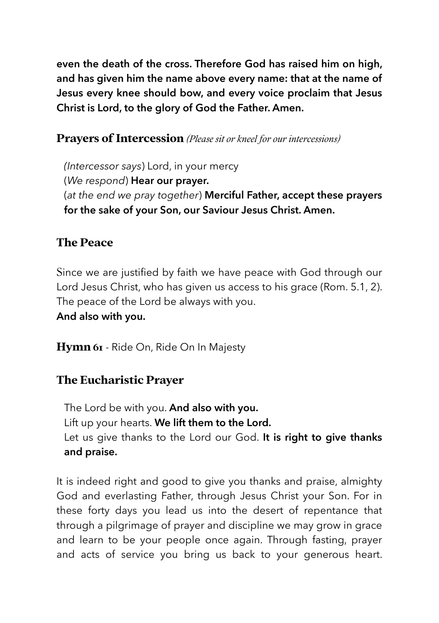**even the death of the cross. Therefore God has raised him on high, and has given him the name above every name: that at the name of Jesus every knee should bow, and every voice proclaim that Jesus Christ is Lord, to the glory of God the Father. Amen.**

### **Prayers of Intercession** *(Please sit or kneel for our intercessions)*

*(Intercessor says*) Lord, in your mercy (*We respond*) **Hear our prayer.** (*at the end we pray together*) **Merciful Father, accept these prayers for the sake of your Son, our Saviour Jesus Christ. Amen.**

## **The Peace**

Since we are justified by faith we have peace with God through our Lord Jesus Christ, who has given us access to his grace (Rom. 5.1, 2). The peace of the Lord be always with you.

**And also with you.**

**Hymn 61** - Ride On, Ride On In Majesty

#### **The Eucharistic Prayer**

The Lord be with you. **And also with you.** Lift up your hearts. **We lift them to the Lord.** Let us give thanks to the Lord our God. **It is right to give thanks and praise.**

It is indeed right and good to give you thanks and praise, almighty God and everlasting Father, through Jesus Christ your Son. For in these forty days you lead us into the desert of repentance that through a pilgrimage of prayer and discipline we may grow in grace and learn to be your people once again. Through fasting, prayer and acts of service you bring us back to your generous heart.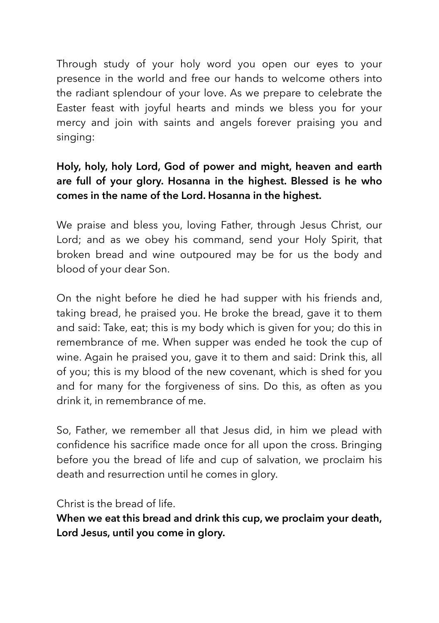Through study of your holy word you open our eyes to your presence in the world and free our hands to welcome others into the radiant splendour of your love. As we prepare to celebrate the Easter feast with joyful hearts and minds we bless you for your mercy and join with saints and angels forever praising you and singing:

## **Holy, holy, holy Lord, God of power and might, heaven and earth are full of your glory. Hosanna in the highest. Blessed is he who comes in the name of the Lord. Hosanna in the highest.**

We praise and bless you, loving Father, through Jesus Christ, our Lord; and as we obey his command, send your Holy Spirit, that broken bread and wine outpoured may be for us the body and blood of your dear Son.

On the night before he died he had supper with his friends and, taking bread, he praised you. He broke the bread, gave it to them and said: Take, eat; this is my body which is given for you; do this in remembrance of me. When supper was ended he took the cup of wine. Again he praised you, gave it to them and said: Drink this, all of you; this is my blood of the new covenant, which is shed for you and for many for the forgiveness of sins. Do this, as often as you drink it, in remembrance of me.

So, Father, we remember all that Jesus did, in him we plead with confidence his sacrifice made once for all upon the cross. Bringing before you the bread of life and cup of salvation, we proclaim his death and resurrection until he comes in glory.

Christ is the bread of life.

**When we eat this bread and drink this cup, we proclaim your death, Lord Jesus, until you come in glory.**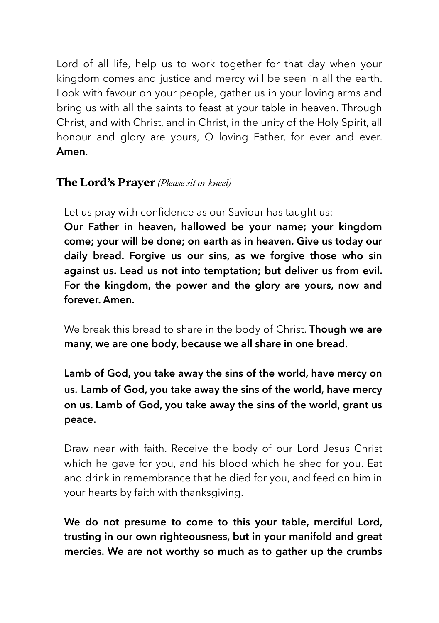Lord of all life, help us to work together for that day when your kingdom comes and justice and mercy will be seen in all the earth. Look with favour on your people, gather us in your loving arms and bring us with all the saints to feast at your table in heaven. Through Christ, and with Christ, and in Christ, in the unity of the Holy Spirit, all honour and glory are yours, O loving Father, for ever and ever. **Amen**.

## **The Lord's Prayer** *(Please sit or kneel)*

Let us pray with confidence as our Saviour has taught us:

**Our Father in heaven, hallowed be your name; your kingdom come; your will be done; on earth as in heaven. Give us today our daily bread. Forgive us our sins, as we forgive those who sin against us. Lead us not into temptation; but deliver us from evil. For the kingdom, the power and the glory are yours, now and forever. Amen.**

We break this bread to share in the body of Christ. **Though we are many, we are one body, because we all share in one bread.**

**Lamb of God, you take away the sins of the world, have mercy on us. Lamb of God, you take away the sins of the world, have mercy on us. Lamb of God, you take away the sins of the world, grant us peace.**

Draw near with faith. Receive the body of our Lord Jesus Christ which he gave for you, and his blood which he shed for you. Eat and drink in remembrance that he died for you, and feed on him in your hearts by faith with thanksgiving.

**We do not presume to come to this your table, merciful Lord, trusting in our own righteousness, but in your manifold and great mercies. We are not worthy so much as to gather up the crumbs**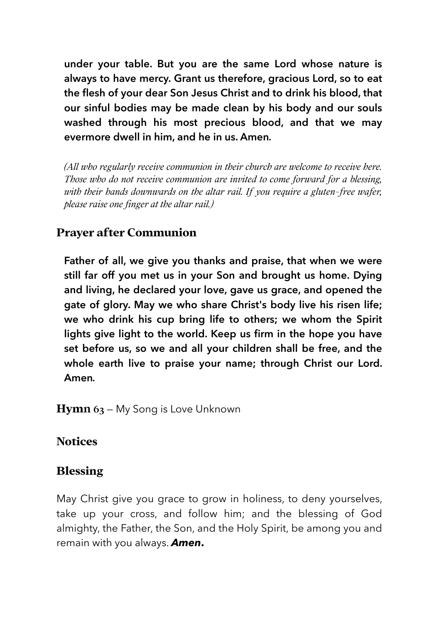**under your table. But you are the same Lord whose nature is always to have mercy. Grant us therefore, gracious Lord, so to eat the flesh of your dear Son Jesus Christ and to drink his blood, that our sinful bodies may be made clean by his body and our souls washed through his most precious blood, and that we may evermore dwell in him, and he in us. Amen***.*

*(All who regularly receive communion in their church are welcome to receive here. Those who do not receive communion are invited to come forward for a blessing, with their hands downwards on the altar rail. If you require a gluten-free wafer, please raise one finger at the altar rail.)*

# **Prayer after Communion**

**Father of all, we give you thanks and praise, that when we were still far off you met us in your Son and brought us home. Dying and living, he declared your love, gave us grace, and opened the gate of glory. May we who share Christ's body live his risen life; we who drink his cup bring life to others; we whom the Spirit lights give light to the world. Keep us firm in the hope you have set before us, so we and all your children shall be free, and the whole earth live to praise your name; through Christ our Lord. Amen***.*

**Hymn 63** — My Song is Love Unknown

#### **Notices**

#### **Blessing**

May Christ give you grace to grow in holiness, to deny yourselves, take up your cross, and follow him; and the blessing of God almighty, the Father, the Son, and the Holy Spirit, be among you and remain with you always. *Amen***.**